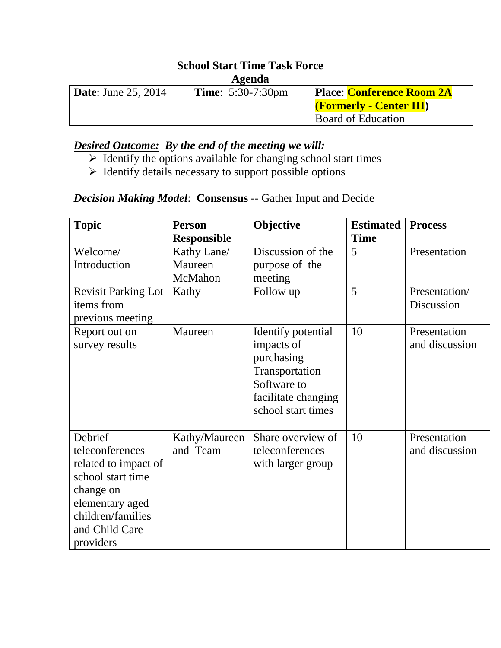# **School Start Time Task Force**

#### **Agenda**

| <b>Date:</b> June 25, 2014 | <b>Time:</b> $5:30-7:30 \text{pm}$ | <b>Place: Conference Room 2A</b> |  |  |
|----------------------------|------------------------------------|----------------------------------|--|--|
|                            |                                    | <b>Formerly - Center III</b>     |  |  |
|                            |                                    | Board of Education               |  |  |

## *Desired Outcome: By the end of the meeting we will:*

- $\triangleright$  Identify the options available for changing school start times
- $\triangleright$  Identify details necessary to support possible options

#### *Decision Making Model*: **Consensus** -- Gather Input and Decide

| <b>Topic</b>                                                                                                                                                | <b>Person</b>                                           | Objective                                                                                                                    | <b>Estimated</b><br><b>Time</b> | <b>Process</b>                 |
|-------------------------------------------------------------------------------------------------------------------------------------------------------------|---------------------------------------------------------|------------------------------------------------------------------------------------------------------------------------------|---------------------------------|--------------------------------|
| Welcome/<br>Introduction                                                                                                                                    | <b>Responsible</b><br>Kathy Lane/<br>Maureen<br>McMahon | Discussion of the<br>purpose of the<br>meeting                                                                               | 5                               | Presentation                   |
| <b>Revisit Parking Lot</b><br>items from<br>previous meeting                                                                                                | Kathy                                                   | Follow up                                                                                                                    | 5                               | Presentation/<br>Discussion    |
| Report out on<br>survey results                                                                                                                             | Maureen                                                 | Identify potential<br>impacts of<br>purchasing<br>Transportation<br>Software to<br>facilitate changing<br>school start times | 10                              | Presentation<br>and discussion |
| Debrief<br>teleconferences<br>related to impact of<br>school start time<br>change on<br>elementary aged<br>children/families<br>and Child Care<br>providers | Kathy/Maureen<br>and Team                               | Share overview of<br>teleconferences<br>with larger group                                                                    | 10                              | Presentation<br>and discussion |